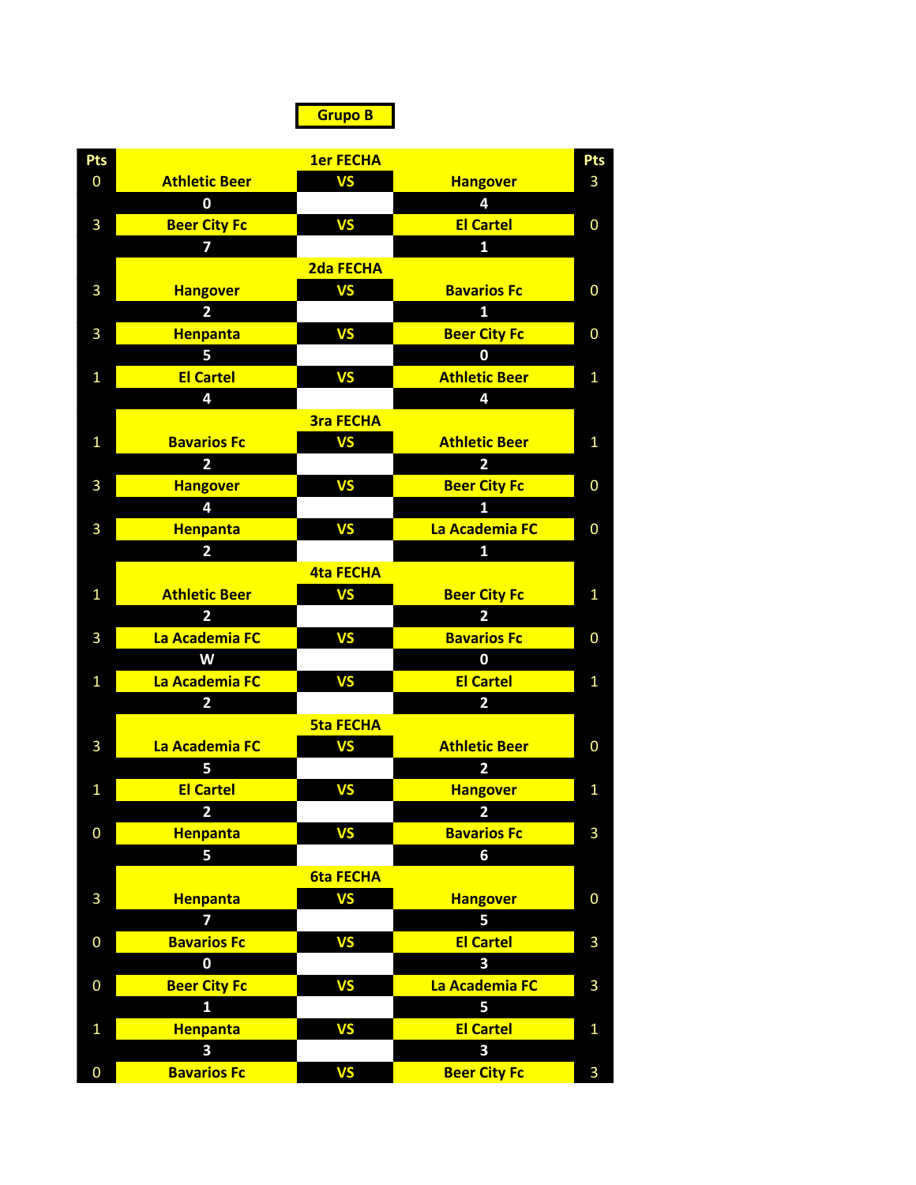**Grupo B**